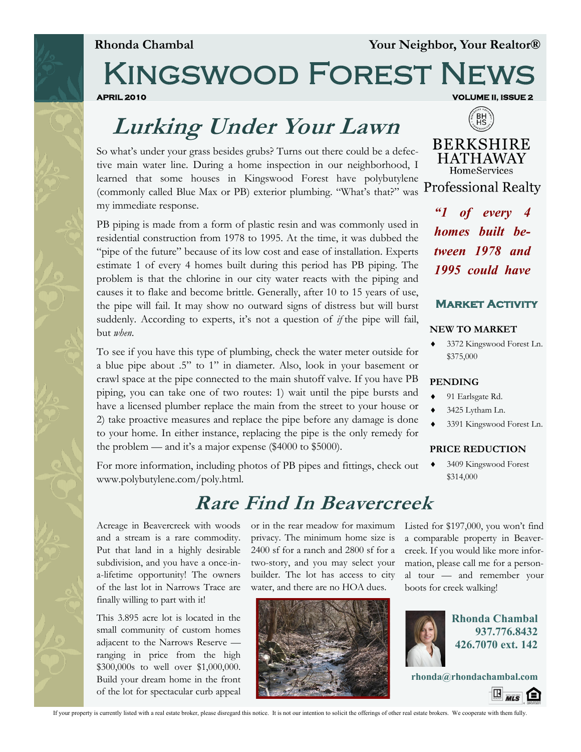**Rhonda Chambal Your Neighbor, Your Realtor®**

## Kingswood Forest News **APRIL 2010 VOLUME II, ISSUE 2**

# **Lurking Under Your Lawn**

So what's under your grass besides grubs? Turns out there could be a defective main water line. During a home inspection in our neighborhood, I learned that some houses in Kingswood Forest have polybutylene (commonly called Blue Max or PB) exterior plumbing. "What's that?" was my immediate response.

PB piping is made from a form of plastic resin and was commonly used in residential construction from 1978 to 1995. At the time, it was dubbed the "pipe of the future" because of its low cost and ease of installation. Experts estimate 1 of every 4 homes built during this period has PB piping. The problem is that the chlorine in our city water reacts with the piping and causes it to flake and become brittle. Generally, after 10 to 15 years of use, the pipe will fail. It may show no outward signs of distress but will burst suddenly. According to experts, it's not a question of *if* the pipe will fail, but *when*.

To see if you have this type of plumbing, check the water meter outside for a blue pipe about .5" to 1" in diameter. Also, look in your basement or crawl space at the pipe connected to the main shutoff valve. If you have PB piping, you can take one of two routes: 1) wait until the pipe bursts and have a licensed plumber replace the main from the street to your house or 2) take proactive measures and replace the pipe before any damage is done to your home. In either instance, replacing the pipe is the only remedy for the problem — and it's a major expense (\$4000 to \$5000).

For more information, including photos of PB pipes and fittings, check out www.polybutylene.com/poly.html.

## **Rare Find In Beavercreek**

Acreage in Beavercreek with woods and a stream is a rare commodity. Put that land in a highly desirable subdivision, and you have a once-ina-lifetime opportunity! The owners of the last lot in Narrows Trace are finally willing to part with it!

This 3.895 acre lot is located in the small community of custom homes adjacent to the Narrows Reserve ranging in price from the high \$300,000s to well over \$1,000,000. Build your dream home in the front of the lot for spectacular curb appeal

**BERKSHIRE HATHAWAY** HomeServices

**Professional Realty** 

*"1 of every 4 homes built between 1978 and 1995 could have* 

#### **Market Activity**

#### **NEW TO MARKET**

 3372 Kingswood Forest Ln. \$375,000

#### **PENDING**

- 91 Earlsgate Rd.
- 3425 Lytham Ln.
- 3391 Kingswood Forest Ln.

#### **PRICE REDUCTION**

 3409 Kingswood Forest \$314,000

or in the rear meadow for maximum Listed for \$197,000, you won't find privacy. The minimum home size is 2400 sf for a ranch and 2800 sf for a two-story, and you may select your builder. The lot has access to city water, and there are no HOA dues.



a comparable property in Beavercreek. If you would like more information, please call me for a personal tour — and remember your boots for creek walking!



**Rhonda Chambal 937.776.8432 426.7070 ext. 142**

**rhonda@rhondachambal.com**



If your property is currently listed with a real estate broker, please disregard this notice. It is not our intention to solicit the offerings of other real estate brokers. We cooperate with them fully.